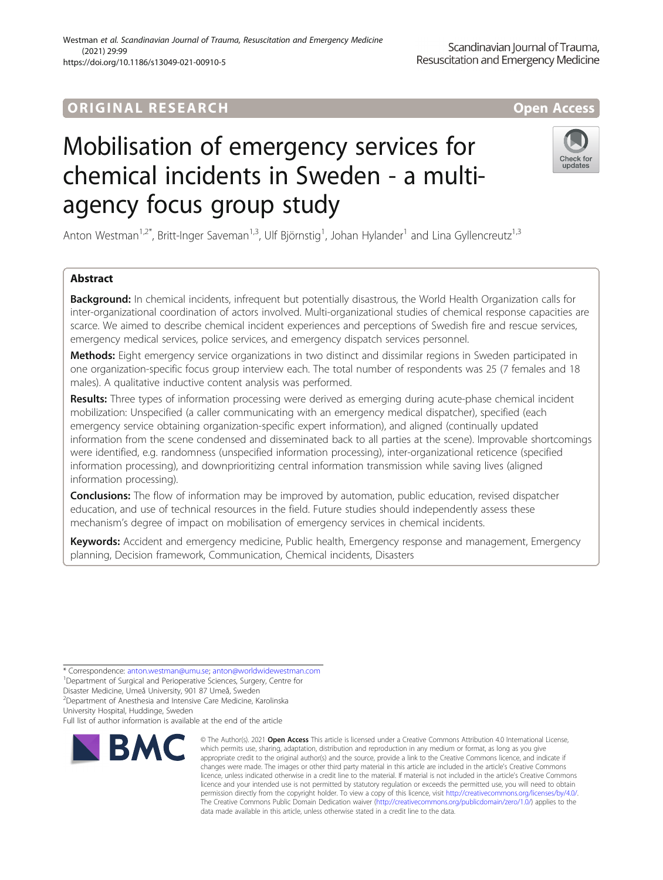### Westman et al. Scandinavian Journal of Trauma, Resuscitation and Emergency Medicine (2021) 29:99 https://doi.org/10.1186/s13049-021-00910-5

# Mobilisation of emergency services for chemical incidents in Sweden - a multiagency focus group study

Anton Westman<sup>1,2\*</sup>, Britt-Inger Saveman<sup>1,3</sup>, Ulf Björnstig<sup>1</sup>, Johan Hylander<sup>1</sup> and Lina Gyllencreutz<sup>1,3</sup>

## Abstract

Background: In chemical incidents, infrequent but potentially disastrous, the World Health Organization calls for inter-organizational coordination of actors involved. Multi-organizational studies of chemical response capacities are scarce. We aimed to describe chemical incident experiences and perceptions of Swedish fire and rescue services, emergency medical services, police services, and emergency dispatch services personnel.

Methods: Eight emergency service organizations in two distinct and dissimilar regions in Sweden participated in one organization-specific focus group interview each. The total number of respondents was 25 (7 females and 18 males). A qualitative inductive content analysis was performed.

Results: Three types of information processing were derived as emerging during acute-phase chemical incident mobilization: Unspecified (a caller communicating with an emergency medical dispatcher), specified (each emergency service obtaining organization-specific expert information), and aligned (continually updated information from the scene condensed and disseminated back to all parties at the scene). Improvable shortcomings were identified, e.g. randomness (unspecified information processing), inter-organizational reticence (specified information processing), and downprioritizing central information transmission while saving lives (aligned information processing).

**Conclusions:** The flow of information may be improved by automation, public education, revised dispatcher education, and use of technical resources in the field. Future studies should independently assess these mechanism's degree of impact on mobilisation of emergency services in chemical incidents.

Keywords: Accident and emergency medicine, Public health, Emergency response and management, Emergency planning, Decision framework, Communication, Chemical incidents, Disasters

\* Correspondence: [anton.westman@umu.se;](mailto:anton.westman@umu.se) [anton@worldwidewestman.com](mailto:anton@worldwidewestman.com) <sup>1</sup>

Disaster Medicine, Umeå University, 901 87 Umeå, Sweden 2 Department of Anesthesia and Intensive Care Medicine, Karolinska

University Hospital, Huddinge, Sweden

Full list of author information is available at the end of the article

© The Author(s), 2021 **Open Access** This article is licensed under a Creative Commons Attribution 4.0 International License, which permits use, sharing, adaptation, distribution and reproduction in any medium or format, as long as you give appropriate credit to the original author(s) and the source, provide a link to the Creative Commons licence, and indicate if changes were made. The images or other third party material in this article are included in the article's Creative Commons licence, unless indicated otherwise in a credit line to the material. If material is not included in the article's Creative Commons licence and your intended use is not permitted by statutory regulation or exceeds the permitted use, you will need to obtain permission directly from the copyright holder. To view a copy of this licence, visit [http://creativecommons.org/licenses/by/4.0/.](http://creativecommons.org/licenses/by/4.0/) The Creative Commons Public Domain Dedication waiver [\(http://creativecommons.org/publicdomain/zero/1.0/](http://creativecommons.org/publicdomain/zero/1.0/)) applies to the data made available in this article, unless otherwise stated in a credit line to the data.



<sup>&</sup>lt;sup>1</sup>Department of Surgical and Perioperative Sciences, Surgery, Centre for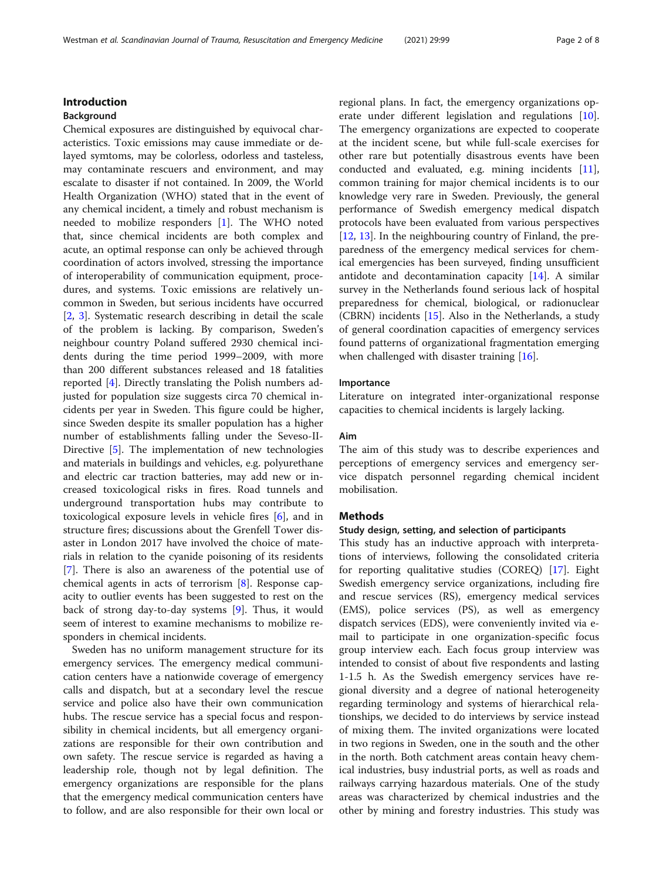### Introduction

### Background

Chemical exposures are distinguished by equivocal characteristics. Toxic emissions may cause immediate or delayed symtoms, may be colorless, odorless and tasteless, may contaminate rescuers and environment, and may escalate to disaster if not contained. In 2009, the World Health Organization (WHO) stated that in the event of any chemical incident, a timely and robust mechanism is needed to mobilize responders [[1\]](#page-7-0). The WHO noted that, since chemical incidents are both complex and acute, an optimal response can only be achieved through coordination of actors involved, stressing the importance of interoperability of communication equipment, procedures, and systems. Toxic emissions are relatively uncommon in Sweden, but serious incidents have occurred [[2,](#page-7-0) [3\]](#page-7-0). Systematic research describing in detail the scale of the problem is lacking. By comparison, Sweden's neighbour country Poland suffered 2930 chemical incidents during the time period 1999–2009, with more than 200 different substances released and 18 fatalities reported [\[4\]](#page-7-0). Directly translating the Polish numbers adjusted for population size suggests circa 70 chemical incidents per year in Sweden. This figure could be higher, since Sweden despite its smaller population has a higher number of establishments falling under the Seveso-II-Directive [\[5](#page-7-0)]. The implementation of new technologies and materials in buildings and vehicles, e.g. polyurethane and electric car traction batteries, may add new or increased toxicological risks in fires. Road tunnels and underground transportation hubs may contribute to toxicological exposure levels in vehicle fires [[6\]](#page-7-0), and in structure fires; discussions about the Grenfell Tower disaster in London 2017 have involved the choice of materials in relation to the cyanide poisoning of its residents [[7\]](#page-7-0). There is also an awareness of the potential use of chemical agents in acts of terrorism [\[8](#page-7-0)]. Response capacity to outlier events has been suggested to rest on the back of strong day-to-day systems [[9\]](#page-7-0). Thus, it would seem of interest to examine mechanisms to mobilize responders in chemical incidents.

Sweden has no uniform management structure for its emergency services. The emergency medical communication centers have a nationwide coverage of emergency calls and dispatch, but at a secondary level the rescue service and police also have their own communication hubs. The rescue service has a special focus and responsibility in chemical incidents, but all emergency organizations are responsible for their own contribution and own safety. The rescue service is regarded as having a leadership role, though not by legal definition. The emergency organizations are responsible for the plans that the emergency medical communication centers have to follow, and are also responsible for their own local or regional plans. In fact, the emergency organizations operate under different legislation and regulations [\[10](#page-7-0)]. The emergency organizations are expected to cooperate at the incident scene, but while full-scale exercises for other rare but potentially disastrous events have been conducted and evaluated, e.g. mining incidents [\[11](#page-7-0)], common training for major chemical incidents is to our knowledge very rare in Sweden. Previously, the general performance of Swedish emergency medical dispatch protocols have been evaluated from various perspectives [[12,](#page-7-0) [13\]](#page-7-0). In the neighbouring country of Finland, the preparedness of the emergency medical services for chemical emergencies has been surveyed, finding unsufficient antidote and decontamination capacity [[14](#page-7-0)]. A similar survey in the Netherlands found serious lack of hospital preparedness for chemical, biological, or radionuclear (CBRN) incidents [\[15](#page-7-0)]. Also in the Netherlands, a study of general coordination capacities of emergency services found patterns of organizational fragmentation emerging when challenged with disaster training [[16\]](#page-7-0).

#### Importance

Literature on integrated inter-organizational response capacities to chemical incidents is largely lacking.

### Aim

The aim of this study was to describe experiences and perceptions of emergency services and emergency service dispatch personnel regarding chemical incident mobilisation.

### Methods

#### Study design, setting, and selection of participants

This study has an inductive approach with interpretations of interviews, following the consolidated criteria for reporting qualitative studies (COREQ) [\[17](#page-7-0)]. Eight Swedish emergency service organizations, including fire and rescue services (RS), emergency medical services (EMS), police services (PS), as well as emergency dispatch services (EDS), were conveniently invited via email to participate in one organization-specific focus group interview each. Each focus group interview was intended to consist of about five respondents and lasting 1-1.5 h. As the Swedish emergency services have regional diversity and a degree of national heterogeneity regarding terminology and systems of hierarchical relationships, we decided to do interviews by service instead of mixing them. The invited organizations were located in two regions in Sweden, one in the south and the other in the north. Both catchment areas contain heavy chemical industries, busy industrial ports, as well as roads and railways carrying hazardous materials. One of the study areas was characterized by chemical industries and the other by mining and forestry industries. This study was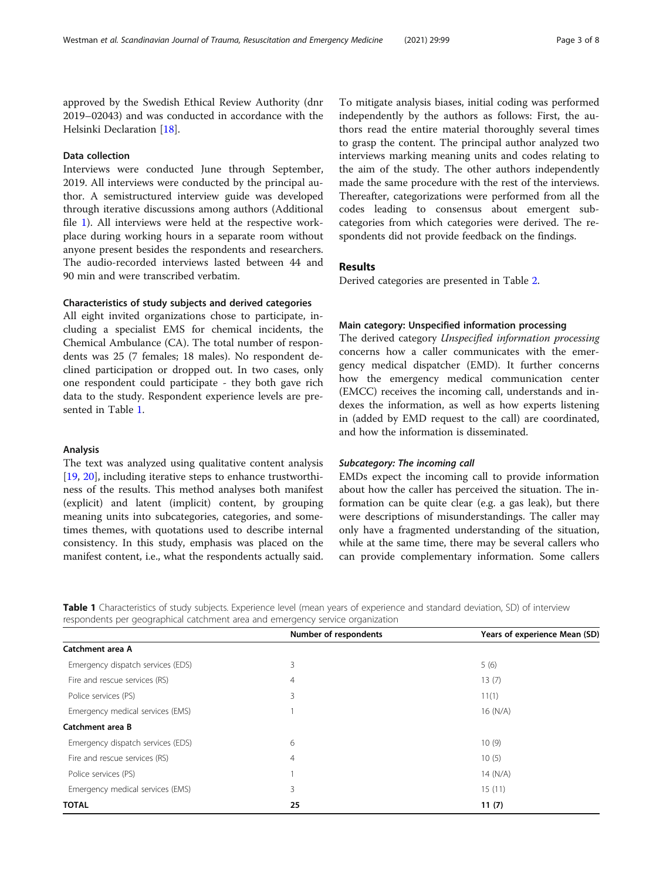approved by the Swedish Ethical Review Authority (dnr 2019–02043) and was conducted in accordance with the Helsinki Declaration [[18\]](#page-7-0).

### Data collection

Interviews were conducted June through September, 2019. All interviews were conducted by the principal author. A semistructured interview guide was developed through iterative discussions among authors (Additional file [1\)](#page-6-0). All interviews were held at the respective workplace during working hours in a separate room without anyone present besides the respondents and researchers. The audio-recorded interviews lasted between 44 and 90 min and were transcribed verbatim.

### Characteristics of study subjects and derived categories

All eight invited organizations chose to participate, including a specialist EMS for chemical incidents, the Chemical Ambulance (CA). The total number of respondents was 25 (7 females; 18 males). No respondent declined participation or dropped out. In two cases, only one respondent could participate - they both gave rich data to the study. Respondent experience levels are presented in Table 1.

#### Analysis

The text was analyzed using qualitative content analysis [[19,](#page-7-0) [20\]](#page-7-0), including iterative steps to enhance trustworthiness of the results. This method analyses both manifest (explicit) and latent (implicit) content, by grouping meaning units into subcategories, categories, and sometimes themes, with quotations used to describe internal consistency. In this study, emphasis was placed on the manifest content, i.e., what the respondents actually said.

To mitigate analysis biases, initial coding was performed independently by the authors as follows: First, the authors read the entire material thoroughly several times to grasp the content. The principal author analyzed two interviews marking meaning units and codes relating to the aim of the study. The other authors independently made the same procedure with the rest of the interviews. Thereafter, categorizations were performed from all the codes leading to consensus about emergent subcategories from which categories were derived. The respondents did not provide feedback on the findings.

### Results

Derived categories are presented in Table [2.](#page-3-0)

### Main category: Unspecified information processing

The derived category Unspecified information processing concerns how a caller communicates with the emergency medical dispatcher (EMD). It further concerns how the emergency medical communication center (EMCC) receives the incoming call, understands and indexes the information, as well as how experts listening in (added by EMD request to the call) are coordinated, and how the information is disseminated.

### Subcategory: The incoming call

EMDs expect the incoming call to provide information about how the caller has perceived the situation. The information can be quite clear (e.g. a gas leak), but there were descriptions of misunderstandings. The caller may only have a fragmented understanding of the situation, while at the same time, there may be several callers who can provide complementary information. Some callers

Table 1 Characteristics of study subjects. Experience level (mean years of experience and standard deviation, SD) of interview respondents per geographical catchment area and emergency service organization

|                                   | Number of respondents | Years of experience Mean (SD) |
|-----------------------------------|-----------------------|-------------------------------|
| Catchment area A                  |                       |                               |
| Emergency dispatch services (EDS) | 3                     | 5(6)                          |
| Fire and rescue services (RS)     | 4                     | 13(7)                         |
| Police services (PS)              | 3                     | 11(1)                         |
| Emergency medical services (EMS)  |                       | 16 (N/A)                      |
| Catchment area B                  |                       |                               |
| Emergency dispatch services (EDS) | 6                     | 10(9)                         |
| Fire and rescue services (RS)     | 4                     | 10(5)                         |
| Police services (PS)              |                       | 14 $(N/A)$                    |
| Emergency medical services (EMS)  | 3                     | 15(11)                        |
| <b>TOTAL</b>                      | 25                    | 11(7)                         |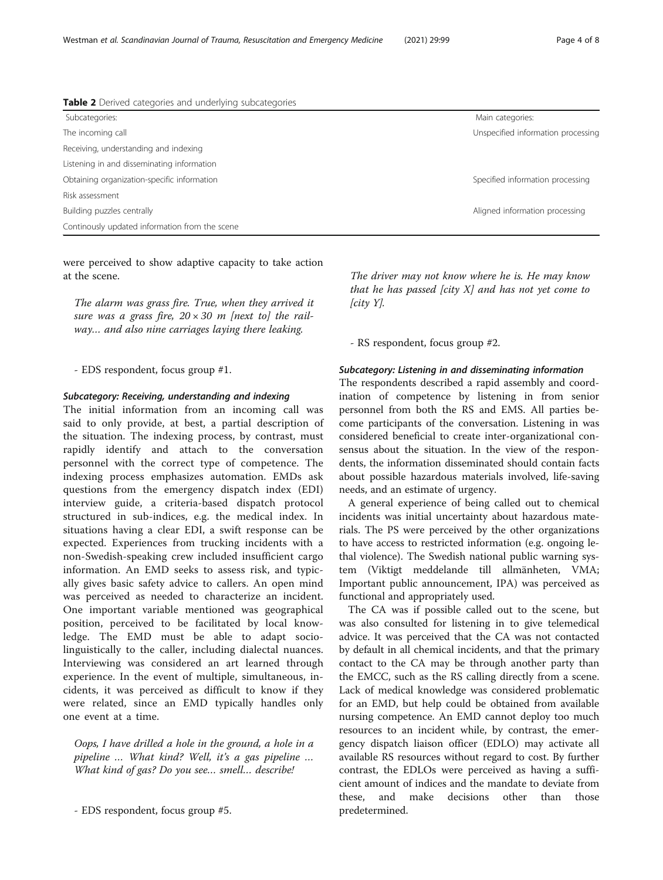<span id="page-3-0"></span>Westman et al. Scandinavian Journal of Trauma, Resuscitation and Emergency Medicine (2021) 29:99 Page 4 of 8

| Table 2 Derived categories and underlying subcategories |                                    |
|---------------------------------------------------------|------------------------------------|
| Subcategories:                                          | Main categories:                   |
| The incoming call                                       | Unspecified information processing |
| Receiving, understanding and indexing                   |                                    |
| Listening in and disseminating information              |                                    |
| Obtaining organization-specific information             | Specified information processing   |
| Risk assessment                                         |                                    |
| Building puzzles centrally                              | Aligned information processing     |
| Continously updated information from the scene          |                                    |

were perceived to show adaptive capacity to take action at the scene.

The alarm was grass fire. True, when they arrived it sure was a grass fire,  $20 \times 30$  m [next to] the railway… and also nine carriages laying there leaking.

- EDS respondent, focus group #1.

### Subcategory: Receiving, understanding and indexing

The initial information from an incoming call was said to only provide, at best, a partial description of the situation. The indexing process, by contrast, must rapidly identify and attach to the conversation personnel with the correct type of competence. The indexing process emphasizes automation. EMDs ask questions from the emergency dispatch index (EDI) interview guide, a criteria-based dispatch protocol structured in sub-indices, e.g. the medical index. In situations having a clear EDI, a swift response can be expected. Experiences from trucking incidents with a non-Swedish-speaking crew included insufficient cargo information. An EMD seeks to assess risk, and typically gives basic safety advice to callers. An open mind was perceived as needed to characterize an incident. One important variable mentioned was geographical position, perceived to be facilitated by local knowledge. The EMD must be able to adapt sociolinguistically to the caller, including dialectal nuances. Interviewing was considered an art learned through experience. In the event of multiple, simultaneous, incidents, it was perceived as difficult to know if they were related, since an EMD typically handles only one event at a time.

Oops, I have drilled a hole in the ground, a hole in a pipeline … What kind? Well, it's a gas pipeline … What kind of gas? Do you see… smell… describe!

The driver may not know where he is. He may know that he has passed  $[city X]$  and has not yet come to  $[city Y]$ .

- RS respondent, focus group #2.

### Subcategory: Listening in and disseminating information

The respondents described a rapid assembly and coordination of competence by listening in from senior personnel from both the RS and EMS. All parties become participants of the conversation. Listening in was considered beneficial to create inter-organizational consensus about the situation. In the view of the respondents, the information disseminated should contain facts about possible hazardous materials involved, life-saving needs, and an estimate of urgency.

A general experience of being called out to chemical incidents was initial uncertainty about hazardous materials. The PS were perceived by the other organizations to have access to restricted information (e.g. ongoing lethal violence). The Swedish national public warning system (Viktigt meddelande till allmänheten, VMA; Important public announcement, IPA) was perceived as functional and appropriately used.

The CA was if possible called out to the scene, but was also consulted for listening in to give telemedical advice. It was perceived that the CA was not contacted by default in all chemical incidents, and that the primary contact to the CA may be through another party than the EMCC, such as the RS calling directly from a scene. Lack of medical knowledge was considered problematic for an EMD, but help could be obtained from available nursing competence. An EMD cannot deploy too much resources to an incident while, by contrast, the emergency dispatch liaison officer (EDLO) may activate all available RS resources without regard to cost. By further contrast, the EDLOs were perceived as having a sufficient amount of indices and the mandate to deviate from these, and make decisions other than those predetermined.

<sup>-</sup> EDS respondent, focus group #5.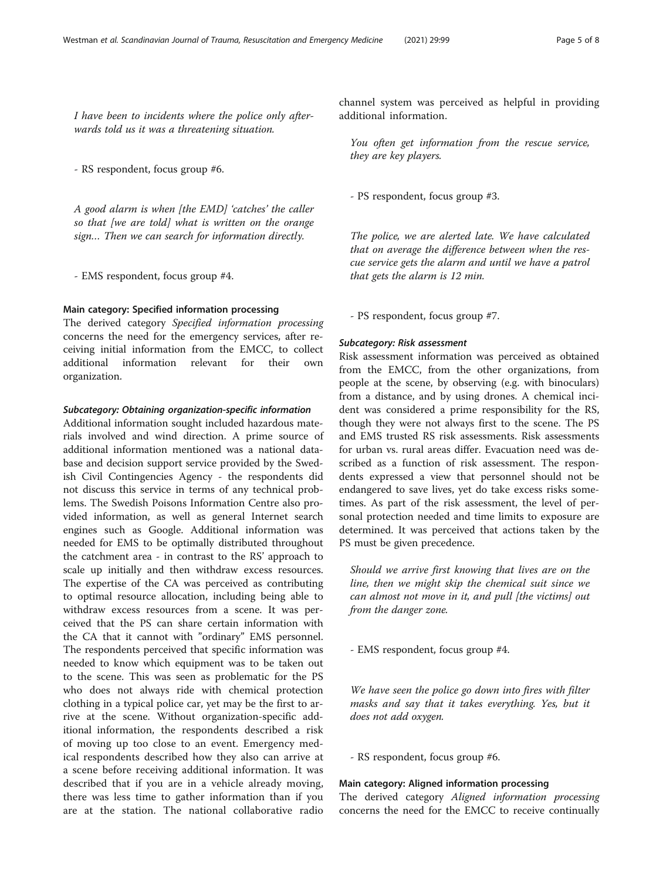I have been to incidents where the police only afterwards told us it was a threatening situation.

- RS respondent, focus group #6.

A good alarm is when [the EMD] 'catches' the caller so that [we are told] what is written on the orange sign… Then we can search for information directly.

- EMS respondent, focus group #4.

### Main category: Specified information processing

The derived category Specified information processing concerns the need for the emergency services, after receiving initial information from the EMCC, to collect additional information relevant for their own organization.

### Subcategory: Obtaining organization-specific information

Additional information sought included hazardous materials involved and wind direction. A prime source of additional information mentioned was a national database and decision support service provided by the Swedish Civil Contingencies Agency - the respondents did not discuss this service in terms of any technical problems. The Swedish Poisons Information Centre also provided information, as well as general Internet search engines such as Google. Additional information was needed for EMS to be optimally distributed throughout the catchment area - in contrast to the RS' approach to scale up initially and then withdraw excess resources. The expertise of the CA was perceived as contributing to optimal resource allocation, including being able to withdraw excess resources from a scene. It was perceived that the PS can share certain information with the CA that it cannot with "ordinary" EMS personnel. The respondents perceived that specific information was needed to know which equipment was to be taken out to the scene. This was seen as problematic for the PS who does not always ride with chemical protection clothing in a typical police car, yet may be the first to arrive at the scene. Without organization-specific additional information, the respondents described a risk of moving up too close to an event. Emergency medical respondents described how they also can arrive at a scene before receiving additional information. It was described that if you are in a vehicle already moving, there was less time to gather information than if you are at the station. The national collaborative radio

channel system was perceived as helpful in providing additional information.

You often get information from the rescue service, they are key players.

- PS respondent, focus group #3.

The police, we are alerted late. We have calculated that on average the difference between when the rescue service gets the alarm and until we have a patrol that gets the alarm is 12 min.

- PS respondent, focus group #7.

### Subcategory: Risk assessment

Risk assessment information was perceived as obtained from the EMCC, from the other organizations, from people at the scene, by observing (e.g. with binoculars) from a distance, and by using drones. A chemical incident was considered a prime responsibility for the RS, though they were not always first to the scene. The PS and EMS trusted RS risk assessments. Risk assessments for urban vs. rural areas differ. Evacuation need was described as a function of risk assessment. The respondents expressed a view that personnel should not be endangered to save lives, yet do take excess risks sometimes. As part of the risk assessment, the level of personal protection needed and time limits to exposure are determined. It was perceived that actions taken by the PS must be given precedence.

Should we arrive first knowing that lives are on the line, then we might skip the chemical suit since we can almost not move in it, and pull [the victims] out from the danger zone.

- EMS respondent, focus group #4.

We have seen the police go down into fires with filter masks and say that it takes everything. Yes, but it does not add oxygen.

- RS respondent, focus group #6.

#### Main category: Aligned information processing

The derived category Aligned information processing concerns the need for the EMCC to receive continually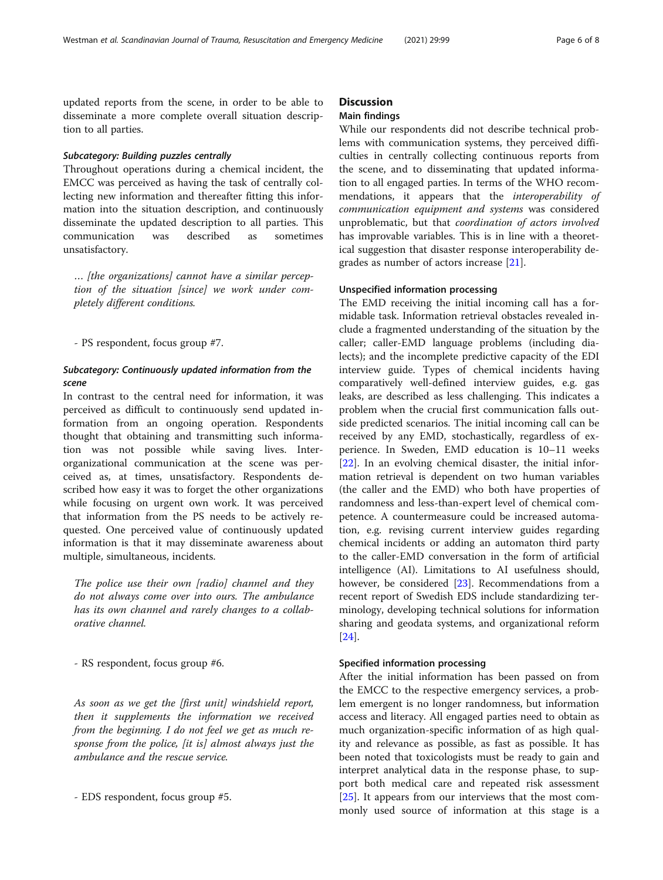updated reports from the scene, in order to be able to disseminate a more complete overall situation description to all parties.

### Subcategory: Building puzzles centrally

Throughout operations during a chemical incident, the EMCC was perceived as having the task of centrally collecting new information and thereafter fitting this information into the situation description, and continuously disseminate the updated description to all parties. This communication was described as sometimes unsatisfactory.

… [the organizations] cannot have a similar perception of the situation [since] we work under completely different conditions.

- PS respondent, focus group #7.

### Subcategory: Continuously updated information from the scene

In contrast to the central need for information, it was perceived as difficult to continuously send updated information from an ongoing operation. Respondents thought that obtaining and transmitting such information was not possible while saving lives. Interorganizational communication at the scene was perceived as, at times, unsatisfactory. Respondents described how easy it was to forget the other organizations while focusing on urgent own work. It was perceived that information from the PS needs to be actively requested. One perceived value of continuously updated information is that it may disseminate awareness about multiple, simultaneous, incidents.

The police use their own [radio] channel and they do not always come over into ours. The ambulance has its own channel and rarely changes to a collaborative channel.

- RS respondent, focus group #6.

As soon as we get the [first unit] windshield report, then it supplements the information we received from the beginning. I do not feel we get as much response from the police, [it is] almost always just the ambulance and the rescue service.

- EDS respondent, focus group #5.

### **Discussion**

### Main findings

While our respondents did not describe technical problems with communication systems, they perceived difficulties in centrally collecting continuous reports from the scene, and to disseminating that updated information to all engaged parties. In terms of the WHO recommendations, it appears that the interoperability of communication equipment and systems was considered unproblematic, but that coordination of actors involved has improvable variables. This is in line with a theoretical suggestion that disaster response interoperability degrades as number of actors increase [[21](#page-7-0)].

### Unspecified information processing

The EMD receiving the initial incoming call has a formidable task. Information retrieval obstacles revealed include a fragmented understanding of the situation by the caller; caller-EMD language problems (including dialects); and the incomplete predictive capacity of the EDI interview guide. Types of chemical incidents having comparatively well-defined interview guides, e.g. gas leaks, are described as less challenging. This indicates a problem when the crucial first communication falls outside predicted scenarios. The initial incoming call can be received by any EMD, stochastically, regardless of experience. In Sweden, EMD education is 10–11 weeks [[22\]](#page-7-0). In an evolving chemical disaster, the initial information retrieval is dependent on two human variables (the caller and the EMD) who both have properties of randomness and less-than-expert level of chemical competence. A countermeasure could be increased automation, e.g. revising current interview guides regarding chemical incidents or adding an automaton third party to the caller-EMD conversation in the form of artificial intelligence (AI). Limitations to AI usefulness should, however, be considered [[23\]](#page-7-0). Recommendations from a recent report of Swedish EDS include standardizing terminology, developing technical solutions for information sharing and geodata systems, and organizational reform [[24\]](#page-7-0).

### Specified information processing

After the initial information has been passed on from the EMCC to the respective emergency services, a problem emergent is no longer randomness, but information access and literacy. All engaged parties need to obtain as much organization-specific information of as high quality and relevance as possible, as fast as possible. It has been noted that toxicologists must be ready to gain and interpret analytical data in the response phase, to support both medical care and repeated risk assessment [[25\]](#page-7-0). It appears from our interviews that the most commonly used source of information at this stage is a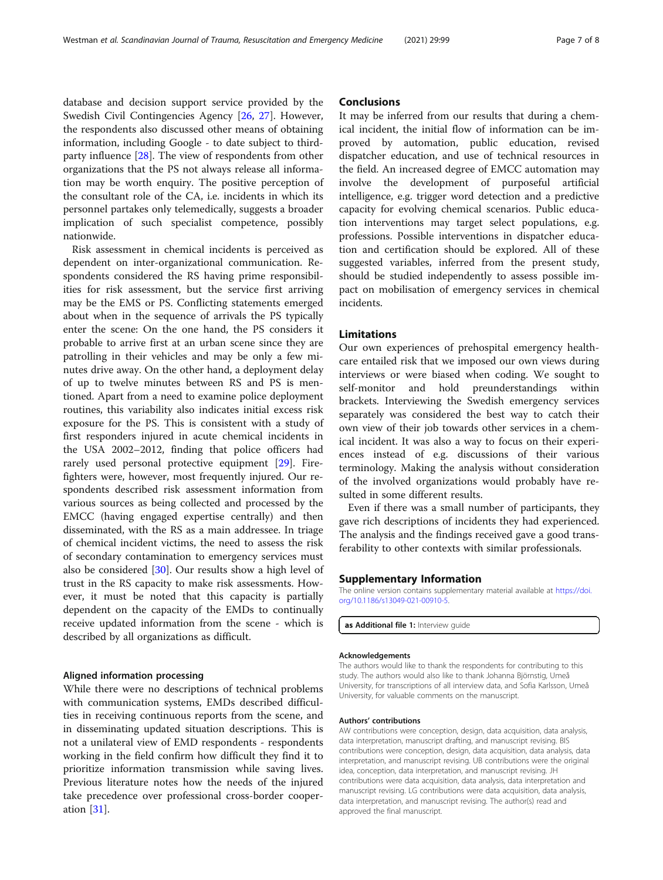<span id="page-6-0"></span>database and decision support service provided by the Swedish Civil Contingencies Agency [[26](#page-7-0), [27](#page-7-0)]. However, the respondents also discussed other means of obtaining information, including Google - to date subject to thirdparty influence [[28\]](#page-7-0). The view of respondents from other organizations that the PS not always release all information may be worth enquiry. The positive perception of the consultant role of the CA, i.e. incidents in which its personnel partakes only telemedically, suggests a broader implication of such specialist competence, possibly nationwide.

Risk assessment in chemical incidents is perceived as dependent on inter-organizational communication. Respondents considered the RS having prime responsibilities for risk assessment, but the service first arriving may be the EMS or PS. Conflicting statements emerged about when in the sequence of arrivals the PS typically enter the scene: On the one hand, the PS considers it probable to arrive first at an urban scene since they are patrolling in their vehicles and may be only a few minutes drive away. On the other hand, a deployment delay of up to twelve minutes between RS and PS is mentioned. Apart from a need to examine police deployment routines, this variability also indicates initial excess risk exposure for the PS. This is consistent with a study of first responders injured in acute chemical incidents in the USA 2002–2012, finding that police officers had rarely used personal protective equipment [\[29\]](#page-7-0). Firefighters were, however, most frequently injured. Our respondents described risk assessment information from various sources as being collected and processed by the EMCC (having engaged expertise centrally) and then disseminated, with the RS as a main addressee. In triage of chemical incident victims, the need to assess the risk of secondary contamination to emergency services must also be considered [\[30](#page-7-0)]. Our results show a high level of trust in the RS capacity to make risk assessments. However, it must be noted that this capacity is partially dependent on the capacity of the EMDs to continually receive updated information from the scene - which is described by all organizations as difficult.

### Aligned information processing

While there were no descriptions of technical problems with communication systems, EMDs described difficulties in receiving continuous reports from the scene, and in disseminating updated situation descriptions. This is not a unilateral view of EMD respondents - respondents working in the field confirm how difficult they find it to prioritize information transmission while saving lives. Previous literature notes how the needs of the injured take precedence over professional cross-border cooperation [\[31](#page-7-0)].

### **Conclusions**

It may be inferred from our results that during a chemical incident, the initial flow of information can be improved by automation, public education, revised dispatcher education, and use of technical resources in the field. An increased degree of EMCC automation may involve the development of purposeful artificial intelligence, e.g. trigger word detection and a predictive capacity for evolving chemical scenarios. Public education interventions may target select populations, e.g. professions. Possible interventions in dispatcher education and certification should be explored. All of these suggested variables, inferred from the present study, should be studied independently to assess possible impact on mobilisation of emergency services in chemical incidents.

### Limitations

Our own experiences of prehospital emergency healthcare entailed risk that we imposed our own views during interviews or were biased when coding. We sought to self-monitor and hold preunderstandings within brackets. Interviewing the Swedish emergency services separately was considered the best way to catch their own view of their job towards other services in a chemical incident. It was also a way to focus on their experiences instead of e.g. discussions of their various terminology. Making the analysis without consideration of the involved organizations would probably have resulted in some different results.

Even if there was a small number of participants, they gave rich descriptions of incidents they had experienced. The analysis and the findings received gave a good transferability to other contexts with similar professionals.

#### Supplementary Information

The online version contains supplementary material available at [https://doi.](https://doi.org/10.1186/s13049-021-00910-5) [org/10.1186/s13049-021-00910-5.](https://doi.org/10.1186/s13049-021-00910-5)

as Additional file 1: Interview quide

#### Acknowledgements

The authors would like to thank the respondents for contributing to this study. The authors would also like to thank Johanna Björnstig, Umeå University, for transcriptions of all interview data, and Sofia Karlsson, Umeå University, for valuable comments on the manuscript.

#### Authors' contributions

AW contributions were conception, design, data acquisition, data analysis, data interpretation, manuscript drafting, and manuscript revising. BIS contributions were conception, design, data acquisition, data analysis, data interpretation, and manuscript revising. UB contributions were the original idea, conception, data interpretation, and manuscript revising. JH contributions were data acquisition, data analysis, data interpretation and manuscript revising. LG contributions were data acquisition, data analysis, data interpretation, and manuscript revising. The author(s) read and approved the final manuscript.